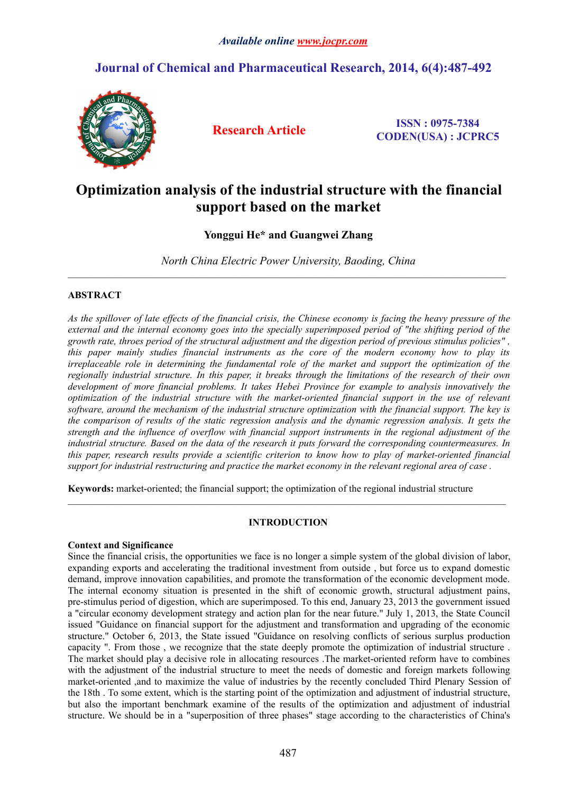# **Journal of Chemical and Pharmaceutical Research, 2014, 6(4):487-492**



**Research Article ISSN : 0975-7384 CODEN(USA) : JCPRC5**

# **Optimization analysis of the industrial structure with the financial support based on the market**

## **Yonggui He\* and Guangwei Zhang**

*North China Electric Power University, Baoding, China*

 $\_$  , and the state of the state of the state of the state of the state of the state of the state of the state of the state of the state of the state of the state of the state of the state of the state of the state of the

 $\_$  , and the state of the state of the state of the state of the state of the state of the state of the state of the state of the state of the state of the state of the state of the state of the state of the state of the

### **ABSTRACT**

As the spillover of late effects of the financial crisis, the Chinese economy is facing the heavy pressure of the external and the internal economy goes into the specially superimposed period of "the shifting period of the growth rate, throes period of the structural adjustment and the digestion period of previous stimulus policies", *this paper mainly studies financial instruments as the core of the modern economy how to play its irreplaceable role in determining the fundamental role of the marketand support the optimization of the regionally industrial structure. In this paper,it breaks through the limitations of the research of their own development of more financial problems. It takes Hebei Province for example to analysis innovatively the optimization of the industrial structure with the market-oriented financial support in the use of relevant software, around the mechanism of the industrial structure optimization with the financial support. The key is* the [comparison](http://www.iciba.com/comparison) of results of the static regression analysis and the dynamic regression analysis. It gets the *strength and the influence of overflow with financial support instruments in the regional adjustment of the industrial structure. Based on the data of the research it puts forward the corresponding countermeasures. In this paper, research results provide a scientific criterion to know how to play of market-oriented financial* support for industrial restructuring and practice the market economy in the relevant regional area of case.

**Keywords:** market-oriented; the financial support; the optimization of the regional industrial structure

#### **INTRODUCTION**

#### **Context and Significance**

Since the financial crisis, the opportunities we face is no longer a simple system of the global division of labor, expanding exports and accelerating the traditional investment from outside , but force us to expand domestic demand, improve innovation capabilities, and promote the transformation of the economic development mode. The internal economy situation is presented in the shift of economic growth, structural adjustment pains, pre-stimulus period of digestion, which are superimposed. To this end, January 23, 2013 the government issued a "circular economy development strategy and action plan for the near future." July 1,2013, the State Council issued "Guidance on financial support for the adjustment and transformation and upgrading of the economic structure." October 6, 2013, the State issued "Guidance on resolving conflicts of serious surplus production capacity ". From those , we recognize that the state deeply promote the optimization of industrial structure . The market should play a decisive role in allocating resources .The market-oriented reform have to combines with the adjustment of the industrial structure to meet the needs of domestic and foreign markets following market-oriented ,and to maximize the value of industries by the recently concluded Third Plenary Session of the 18th . To some extent, which is the starting point of the optimization and adjustment of industrial structure, but also the important benchmark examine of the results of the optimization and adjustment of industrial structure. We should be in a "superposition of three phases" stage according to the characteristics of China's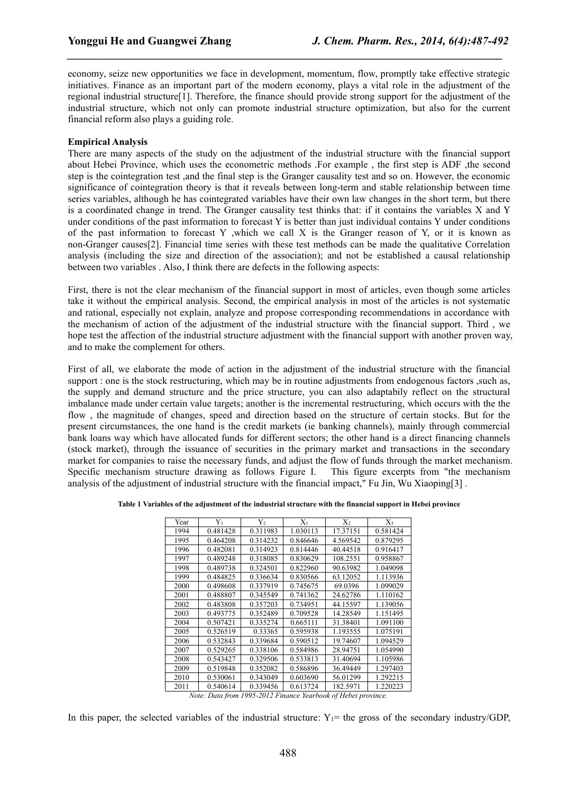economy, seize new opportunities we face in development, momentum, flow, promptly take effective strategic initiatives. Finance as an important part of the modern economy, plays a vital role in the adjustment of the regional industrial structure[1]. Therefore, the finance should provide strong support for the adjustment of the industrial structure, which not only can promote industrial structure optimization, but also for the current financial reform also plays a guiding role.

*\_\_\_\_\_\_\_\_\_\_\_\_\_\_\_\_\_\_\_\_\_\_\_\_\_\_\_\_\_\_\_\_\_\_\_\_\_\_\_\_\_\_\_\_\_\_\_\_\_\_\_\_\_\_\_\_\_\_\_\_\_\_\_\_\_\_\_\_\_\_\_\_\_\_\_\_\_*

#### **Empirical Analysis**

There are many aspects of the study on the adjustment of the industrial structure with the financial support about Hebei Province, which uses the econometric methods .For example, the first step is ADF, the second step is the cointegration test ,and the final step is the Granger causality test and so on. However, the economic significance of cointegration theory is that it reveals between long-term and stable relationship between time series variables, although he has cointegrated variables have their own law changes in the short term, but there is a coordinated change in trend. The Granger causality test thinks that: if it contains the variables X and Y under conditions of the past information to forecast Y is better than just individual contains Y under conditions of the past information to forecast Y ,which we call  $X$  is the Granger reason of Y, or it is known as non-Granger causes[2]. Financial time series with these test methods can be made the qualitative Correlation analysis (including the size and direction of the association); and not be established a causal relationship between two variables . Also, I think there are defects in the following aspects:

First, there is not the clear mechanism of the financial support in most of articles, even though some articles take it without the empirical analysis. Second, the empirical analysis in most of the articles is not systematic and rational, especially not explain, analyze and propose corresponding recommendations in accordance with the mechanism of action of the adjustment of the industrial structure with the financial support. Third , we hope test the affection of the industrial structure adjustment with the financial support with another proven way, and to make the complement for others.

First of all, we elaborate the mode of action in the adjustment of the industrial structure with the financial support : one is the stock restructuring, which may be in routine adjustments from endogenous factors ,such as, the supply and demand structure and the price structure, you can also adaptabily reflect on the structural imbalance made under certain value targets; another is the incremental restructuring, which occurs with the the flow , the magnitude of changes, speed and direction based on the structure of certain stocks. But for the present circumstances, the one hand is the credit markets (ie banking channels), mainly through commercial bank loans way which have allocated funds for different sectors; the other hand is a direct financing channels (stock market), through the issuance of securities in the primary market and transactions in the secondary market for companies to raise the necessary funds, and adjust the flow of funds through the market mechanism. Specific mechanism structure drawing as follows Figure I. This figure excerpts from "the mechanism" analysis ofthe adjustment of industrial structure with the financial impact," Fu Jin, Wu Xiaoping[3] .

| Table 1 Variables of the adjustment of the industrial structure with the financial support in Hebei province |  |
|--------------------------------------------------------------------------------------------------------------|--|
|--------------------------------------------------------------------------------------------------------------|--|

| Year | $Y_1$    | $Y_2$    | $X_1$    | $X_2$    | $X_3$    |
|------|----------|----------|----------|----------|----------|
| 1994 | 0.481428 | 0.311983 | 1.030113 | 17.37151 | 0.581424 |
| 1995 | 0.464208 | 0.314232 | 0.846646 | 4.569542 | 0.879295 |
| 1996 | 0.482081 | 0.314923 | 0.814446 | 40.44518 | 0.916417 |
| 1997 | 0.489248 | 0.318085 | 0.830629 | 108.2551 | 0.958867 |
| 1998 | 0.489738 | 0.324501 | 0.822960 | 90.63982 | 1.049098 |
| 1999 | 0.484825 | 0.336634 | 0.830566 | 63.12052 | 1.113936 |
| 2000 | 0.498608 | 0.337919 | 0.745675 | 69.0396  | 1.099029 |
| 2001 | 0.488807 | 0.345549 | 0.741362 | 24.62786 | 1.110162 |
| 2002 | 0.483808 | 0.357203 | 0.734951 | 44.15597 | 1.139056 |
| 2003 | 0.493775 | 0.352489 | 0.709528 | 14.28549 | 1.151495 |
| 2004 | 0.507421 | 0.335274 | 0.665111 | 31.38401 | 1.091100 |
| 2005 | 0.526519 | 0.33365  | 0.595938 | 1.193555 | 1.075191 |
| 2006 | 0.532843 | 0.339684 | 0.590512 | 19.74607 | 1.094529 |
| 2007 | 0.529265 | 0.338106 | 0.584986 | 28.94751 | 1.054990 |
| 2008 | 0.543427 | 0.329506 | 0.533813 | 31.40694 | 1.105986 |
| 2009 | 0.519848 | 0.352082 | 0.586896 | 36.49449 | 1.297403 |
| 2010 | 0.530061 | 0.343049 | 0.603690 | 56.01299 | 1.292215 |
| 2011 | 0.540614 | 0.339456 | 0.613724 | 182.5971 | 1.220223 |

*Note: Data from 1995-2012 Finance Yearbook of Hebei province.*

In this paper, the selected variables of the industrial structure:  $Y_1$ = the gross of the secondary industry/GDP.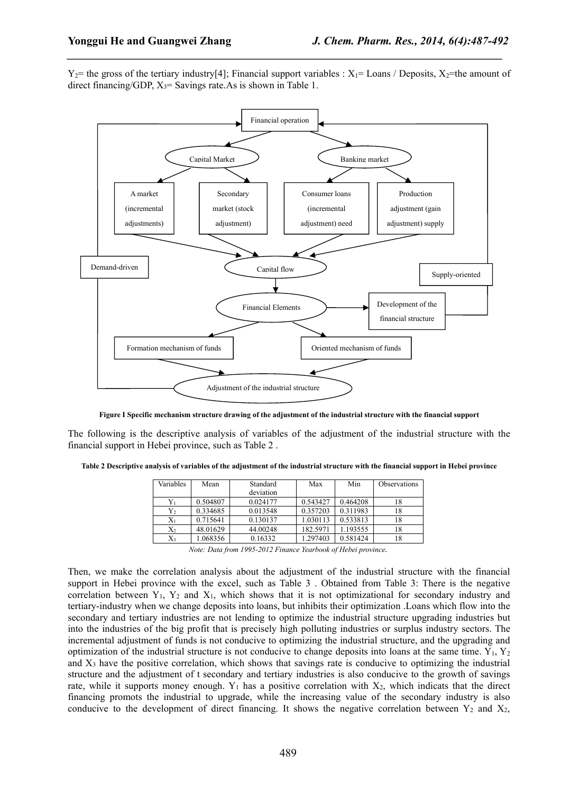$Y_2$ = the gross of the tertiary industry[4]; Financial support variables :  $X_1$ = Loans / Deposits,  $X_2$ =the amount of direct financing/GDP,  $X_3$ = Savings rate. As is shown in Table 1.

*\_\_\_\_\_\_\_\_\_\_\_\_\_\_\_\_\_\_\_\_\_\_\_\_\_\_\_\_\_\_\_\_\_\_\_\_\_\_\_\_\_\_\_\_\_\_\_\_\_\_\_\_\_\_\_\_\_\_\_\_\_\_\_\_\_\_\_\_\_\_\_\_\_\_\_\_\_*



Figure I Specific mechanism structure drawing of the adjustment of the industrial structure with the financial support

The following is the descriptive analysis of variables of the adjustment of the industrial structure with the financial support in Hebei province, such as Table 2 .

Table 2 Descriptive analysis of variables of the adjustment of the industrial structure with the financial support in Hebei province

| Variables | Mean     | Standard  | Max      | Min      | <i><b>Observations</b></i> |
|-----------|----------|-----------|----------|----------|----------------------------|
|           |          | deviation |          |          |                            |
|           | 0.504807 | 0.024177  | 0.543427 | 0.464208 | 18                         |
| Y,        | 0.334685 | 0.013548  | 0.357203 | 0.311983 | 18                         |
| $X_1$     | 0.715641 | 0.130137  | 1.030113 | 0.533813 | 18                         |
| X2        | 48.01629 | 44.00248  | 182.5971 | 1.193555 | 18                         |
| X3        | 1.068356 | 0.16332   | 1.297403 | 0.581424 | 18                         |

*Note: Data from 1995-2012 Finance Yearbook of Hebei province.*

Then, we make the correlation analysis about the adjustment of the industrial structure with the financial support in Hebei province with the excel, such as Table 3. Obtained from Table 3: There is the negative correlation between  $Y_1$ ,  $Y_2$  and  $X_1$ , which shows that it is not optimizational for secondary industry and tertiary-industry when we change deposits into loans, but inhibits their optimization .Loans which flow into the secondary and tertiary industries are not lending to optimize the industrial structure upgrading industries but into the industries of the big profit that is precisely high polluting industries or surplus industry sectors. The incremental adjustment of funds is not conducive to optimizing the industrial structure, and the upgrading and optimization of the industrial structure is not conducive to change deposits into loans at the same time.  $Y_1, Y_2$ and  $X_3$  have the positive correlation, which shows that savings rate is conducive to optimizing the industrial structure and the adjustment of t secondary and tertiary industries is also conducive to the growth of savings rate, while it supports money enough.  $Y_1$  has a positive correlation with  $X_2$ , which indicats that the direct financing promots the industrial to upgrade, while the increasing value of the secondary industry is also conducive to the development of direct financing. It shows the negative correlation between  $Y_2$  and  $X_2$ ,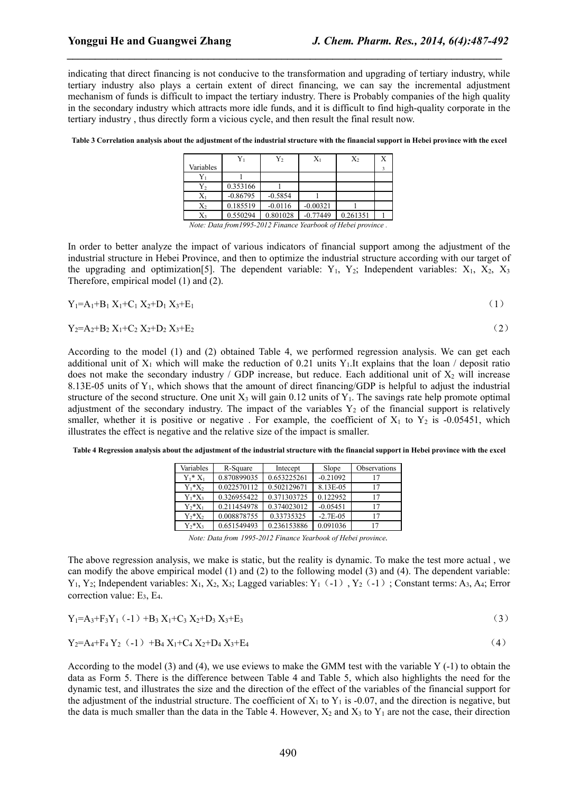indicating that direct financing is not conducive to the transformation and upgrading of tertiary industry, while tertiary industry also plays a certain extent of direct financing, we can say the incremental adjustment mechanism of funds is difficult to impact the tertiary industry. There is Probably companies of the high quality in the secondary industry which attracts more idle funds, and it is difficult to find high-quality corporate in the tertiary industry, thus directly form a vicious cycle, and then result the final result now.

*\_\_\_\_\_\_\_\_\_\_\_\_\_\_\_\_\_\_\_\_\_\_\_\_\_\_\_\_\_\_\_\_\_\_\_\_\_\_\_\_\_\_\_\_\_\_\_\_\_\_\_\_\_\_\_\_\_\_\_\_\_\_\_\_\_\_\_\_\_\_\_\_\_\_\_\_\_*

Table 3 Correlation analysis about the adjustment of the industrial structure with the financial support in Hebei province with the excel

|           |                                                               | $Y_2$     | $X_1$      | $X_2$    | Х |
|-----------|---------------------------------------------------------------|-----------|------------|----------|---|
| Variables |                                                               |           |            |          |   |
| Yı        |                                                               |           |            |          |   |
| $Y_2$     | 0.353166                                                      |           |            |          |   |
| $X_1$     | $-0.86795$                                                    | $-0.5854$ |            |          |   |
| $X_2$     | 0.185519                                                      | $-0.0116$ | $-0.00321$ |          |   |
| X3        | 0.550294                                                      | 0.801028  | $-0.77449$ | 0.261351 |   |
|           | Note: Data from 1995-2012 Finance Yearbook of Hebei province. |           |            |          |   |

In order to better analyze the impact of various indicators of financial support among the adjustment of the industrial structure in Hebei Province, and then to optimize the industrial structure according with our target of the upgrading and optimization[5]. The dependent variable:  $Y_1$ ,  $Y_2$ ; Independent variables:  $X_1$ ,  $X_2$ ,  $X_3$ Therefore, empirical model (1) and (2).

$$
Y_1 = A_1 + B_1 X_1 + C_1 X_2 + D_1 X_3 + E_1 \tag{1}
$$

$$
Y_2 = A_2 + B_2 X_1 + C_2 X_2 + D_2 X_3 + E_2
$$
\n<sup>(2)</sup>

According to the model (1) and (2) obtained Table 4, we performed regression analysis. We can get each additional unit of  $X_1$  which will make the reduction of 0.21 units Y<sub>1</sub>.It explains that the loan / deposit ratio does not make the secondary industry / GDP increase, but reduce. Each additional unit of  $X_2$  will increase 8.13E-05 units of  $Y_1$ , which shows that the amount of direct financing/GDP is helpful to adjust the industrial structure of the second structure. One unit  $X_3$  will gain 0.12 units of  $Y_1$ . The savings rate help promote optimal adjustment of the secondary industry. The impact of the variables  $Y_2$  of the financial support is relatively smaller, whether it is positive or negative. For example, the coefficient of  $X_1$  to  $Y_2$  is -0.05451, which illustrates the effect is negative and the relative size of the impact is smaller.

Table 4 Regression analysis about the adjustment of the industrial structure with the financial support in Hebei province with the excel

| Variables   | R-Square    | Intecept    | Slope       | <b>Observations</b> |
|-------------|-------------|-------------|-------------|---------------------|
| $Y_1^* X_1$ | 0.870899035 | 0.653225261 | $-0.21092$  | 17                  |
| $Y_1^*X_2$  | 0.022570112 | 0.502129671 | 8.13E-05    | 17                  |
| $Y_1^*X_3$  | 0.326955422 | 0.371303725 | 0.122952    | 17                  |
| $Y_2^*X_1$  | 0.211454978 | 0.374023012 | $-0.05451$  | 17                  |
| $Y_2^*X_2$  | 0.008878755 | 0.33735325  | $-2.7E-0.5$ | 17                  |
| $Y_2^*X_3$  | 0.651549493 | 0.236153886 | 0.091036    |                     |

*Note: Data from 1995-2012 Finance Yearbook of Hebei province.*

The above regression analysis, we make is static, but the reality is dynamic. To make the test more actual, we can modify the above empirical model (1) and (2) to the following model (3) and (4). The dependent variable:  $Y_1, Y_2$ ; Independent variables:  $X_1, X_2, X_3$ ; Lagged variables:  $Y_1$  (-1),  $Y_2$  (-1); Constant terms: A<sub>3</sub>, A<sub>4</sub>; Error correction value: E3, E4.

$$
Y_1 = A_3 + F_3 Y_1 (-1) + B_3 X_1 + C_3 X_2 + D_3 X_3 + E_3
$$
\n<sup>(3)</sup>

$$
Y_2 = A_4 + F_4 Y_2 (-1) + B_4 X_1 + C_4 X_2 + D_4 X_3 + E_4
$$
 (4)

According to the model (3) and (4), we use eviews to make the GMM test with the variable Y (-1) to obtain the data as Form 5. There is the difference between Table 4 and Table 5, which also highlights the need for the dynamic test, and illustrates the size and the direction of the effect of the variables of the financial support for the adjustment of the industrial structure. The coefficient of  $X_1$  to  $Y_1$  is -0.07, and the direction is negative, but the data is much smaller than the data in the Table 4. However,  $X_2$  and  $X_3$  to  $Y_1$  are not the case, their direction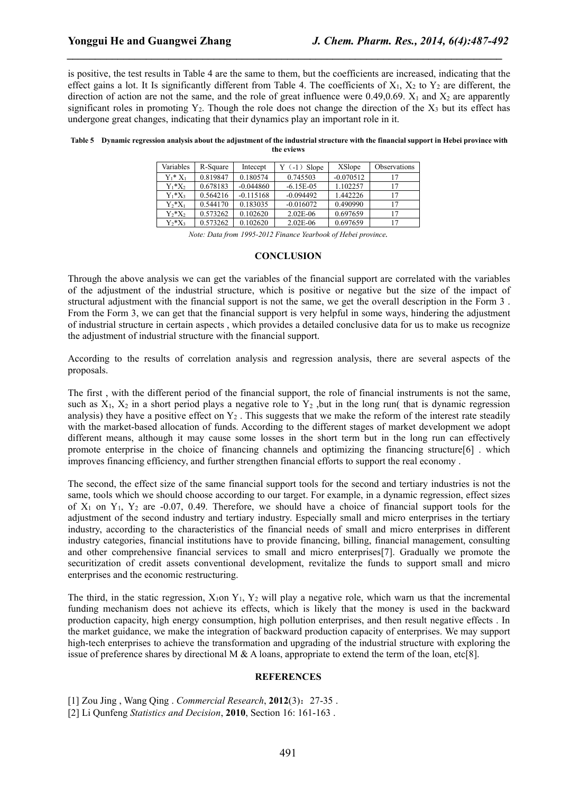is positive, the test results in Table 4 are the same to them, but the coefficients are increased, indicating that the effect gains a lot. It Is significantly different from Table 4. The coefficients of  $X_1, X_2$  to  $Y_2$  are different, the direction of action are not the same, and the role of great influence were 0.49,0.69.  $X_1$  and  $X_2$  are apparently significant roles in promoting  $Y_2$ . Though the role does not change the direction of the  $X_3$  but its effect has undergone great changes, indicating that their dynamics play an important role in it.

*\_\_\_\_\_\_\_\_\_\_\_\_\_\_\_\_\_\_\_\_\_\_\_\_\_\_\_\_\_\_\_\_\_\_\_\_\_\_\_\_\_\_\_\_\_\_\_\_\_\_\_\_\_\_\_\_\_\_\_\_\_\_\_\_\_\_\_\_\_\_\_\_\_\_\_\_\_*

Table 5 Dynamic regression analysis about the adjustment of the industrial structure with the financial support in Hebei province with **the eviews**

| Variables   | R-Square | Intecept    | $Y(-1)$ Slope | XSlope      | Observations |
|-------------|----------|-------------|---------------|-------------|--------------|
| $Y_1^* X_1$ | 0.819847 | 0.180574    | 0.745503      | $-0.070512$ |              |
| $Y_1^*X_2$  | 0.678183 | $-0.044860$ | $-6.15E - 05$ | 1.102257    |              |
| $Y_1^*X_3$  | 0.564216 | $-0.115168$ | $-0.094492$   | 1.442226    |              |
| $Y_2^*X_1$  | 0.544170 | 0.183035    | $-0.016072$   | 0.490990    |              |
| $Y_2^*X_2$  | 0.573262 | 0.102620    | $2.02E-06$    | 0.697659    |              |
| $Y_2^*X_3$  | 0.573262 | 0.102620    | $2.02E-06$    | 0.697659    |              |

*Note: Data from 1995-2012 Finance Yearbook of Hebei province.*

### **CONCLUSION**

Through the above analysis we can get the variables of the financial support are correlated with the variables of the adjustment of the industrial structure, which is positive or negative but the size of the impact of structural adjustment with the financial support is not the same, we get the overall description in the Form 3. From the Form 3, we can get that the financial support is very helpful in some ways, hindering the adjustment of industrial structure in certain aspects , which provides a detailed conclusive data for us to make us recognize the adjustment of industrial structure with the financial support.

According to the results of correlation analysis and regression analysis, there are several aspects of the proposals.

The first ,with the different period of the financial support, the role of financial instruments is not the same, such as  $X_1$ ,  $X_2$  in a short period plays a negative role to  $Y_2$ , but in the long run( that is dynamic regression analysis) they have a positive effect on  $Y_2$ . This suggests that we make the reform of the interest rate steadily with the market-based allocation of funds. According to the different stages of market development we adopt different means, although it may cause some losses in the short term but in the long run can effectively promote enterprise in the choice of financing channels and optimizing the financing structure [6] which improves financing efficiency, and further strengthen financial efforts to support the real economy .

The second, the effect size of the same financial support tools for the second and tertiary industries is not the same, tools which we should choose according to our target. For example, in a dynamic regression, effect sizes of  $X_1$  on  $Y_1$ ,  $Y_2$  are -0.07, 0.49. Therefore, we should have a choice of financial support tools for the adjustment of the second industry and tertiary industry. Especially small and micro enterprises in the tertiary industry, according to the characteristics of the financial needs of small and micro enterprises in different industry categories, financial institutions have to provide financing, billing, financial management, consulting and other comprehensive financial services to small and micro enterprises[7]. Gradually we promote the securitization of credit assets conventional development, revitalize the funds to support small and micro enterprises and the economic restructuring.

The third, in the static regression,  $X_1$ on  $Y_1$ ,  $Y_2$  will play a negative role, which warn us that the incremental funding mechanism does not achieve its effects, which is likely that the money is used in the backward production capacity, high energy consumption, high pollution enterprises, and then result negative effects . In the market guidance, we make the integration of backward production capacity of enterprises. We may support high-tech enterprises to achieve the transformation and upgrading of the industrial structure with exploring the issue of preference shares by directional M & A loans, appropriate to extend the term of the loan, etc[8].

#### **REFERENCES**

[1] Zou Jing , Wang Qing . *Commercial Research*, **2012**(3):27-35 .

[2] Li Qunfeng *Statistics and Decision*, **2010**, Section 16: 161-163 .